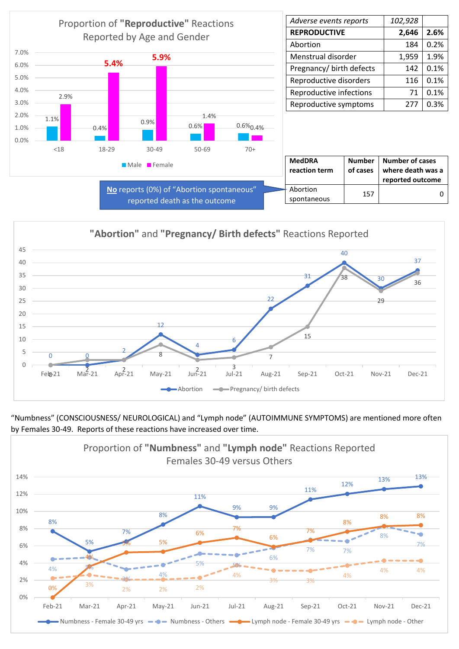

| Adverse events reports   | 102,928 |      |
|--------------------------|---------|------|
| <b>REPRODUCTIVE</b>      | 2,646   | 2.6% |
| Abortion                 | 184     | 0.2% |
| Menstrual disorder       | 1,959   | 1.9% |
| Pregnancy/ birth defects | 142     | 0.1% |
| Reproductive disorders   | 116     | 0.1% |
| Reproductive infections  | 71      | 0.1% |
| Reproductive symptoms    | 277     | 0.3% |

| <b>MedDRA</b><br>reaction term | of cases | Number   Number of cases<br>where death was a<br>reported outcome |
|--------------------------------|----------|-------------------------------------------------------------------|
| - Abortion                     | 157      |                                                                   |
| spontaneous                    |          |                                                                   |



"Numbness" (CONSCIOUSNESS/ NEUROLOGICAL) and "Lymph node" (AUTOIMMUNE SYMPTOMS) are mentioned more often by Females 30-49. Reports of these reactions have increased over time.